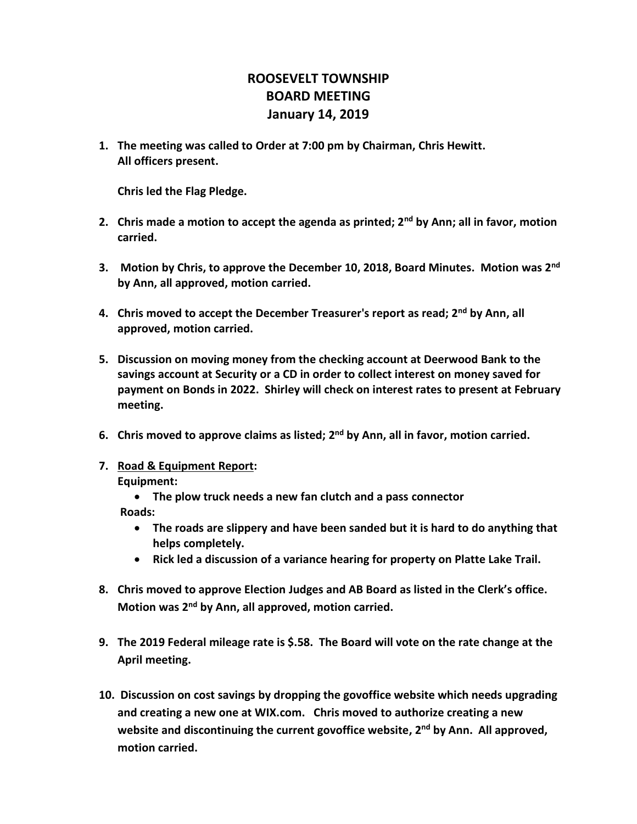## **ROOSEVELT TOWNSHIP BOARD MEETING January 14, 2019**

**1. The meeting was called to Order at 7:00 pm by Chairman, Chris Hewitt. All officers present.**

**Chris led the Flag Pledge.**

- **2. Chris made a motion to accept the agenda as printed; 2nd by Ann; all in favor, motion carried.**
- **3. Motion by Chris, to approve the December 10, 2018, Board Minutes. Motion was 2nd by Ann, all approved, motion carried.**
- **4. Chris moved to accept the December Treasurer's report as read; 2nd by Ann, all approved, motion carried.**
- **5. Discussion on moving money from the checking account at Deerwood Bank to the savings account at Security or a CD in order to collect interest on money saved for payment on Bonds in 2022. Shirley will check on interest rates to present at February meeting.**
- **6. Chris moved to approve claims as listed; 2nd by Ann, all in favor, motion carried.**
- **7. Road & Equipment Report:**

**Equipment:**

• **The plow truck needs a new fan clutch and a pass connector**

 **Roads:** 

- **The roads are slippery and have been sanded but it is hard to do anything that helps completely.**
- **Rick led a discussion of a variance hearing for property on Platte Lake Trail.**
- **8. Chris moved to approve Election Judges and AB Board as listed in the Clerk's office. Motion was 2nd by Ann, all approved, motion carried.**
- **9. The 2019 Federal mileage rate is \$.58. The Board will vote on the rate change at the April meeting.**
- **10. Discussion on cost savings by dropping the govoffice website which needs upgrading and creating a new one at WIX.com. Chris moved to authorize creating a new website and discontinuing the current govoffice website, 2nd by Ann. All approved, motion carried.**